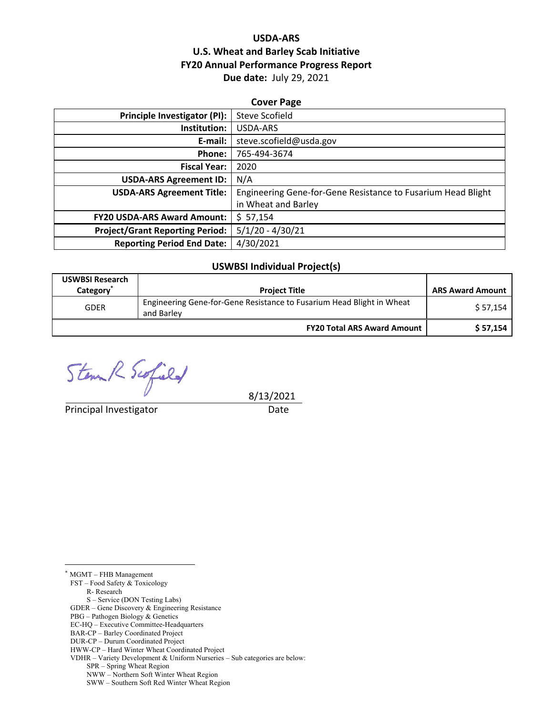## **USDA‐ARS U.S. Wheat and Barley Scab Initiative FY20 Annual Performance Progress Report Due date:** July 29, 2021

| <b>Cover Page</b>                                            |  |  |  |  |
|--------------------------------------------------------------|--|--|--|--|
| Steve Scofield                                               |  |  |  |  |
| USDA-ARS                                                     |  |  |  |  |
| steve.scofield@usda.gov                                      |  |  |  |  |
| 765-494-3674                                                 |  |  |  |  |
| 2020                                                         |  |  |  |  |
| N/A                                                          |  |  |  |  |
| Engineering Gene-for-Gene Resistance to Fusarium Head Blight |  |  |  |  |
| in Wheat and Barley                                          |  |  |  |  |
| \$57,154                                                     |  |  |  |  |
| $5/1/20 - 4/30/21$                                           |  |  |  |  |
| 4/30/2021                                                    |  |  |  |  |
|                                                              |  |  |  |  |

#### **USWBSI Individual Project(s)**

| <b>USWBSI Research</b><br>Category | <b>Project Title</b>                                                                | <b>ARS Award Amount</b> |
|------------------------------------|-------------------------------------------------------------------------------------|-------------------------|
| <b>GDER</b>                        | Engineering Gene-for-Gene Resistance to Fusarium Head Blight in Wheat<br>and Barley | \$57,154                |
|                                    | <b>FY20 Total ARS Award Amount</b>                                                  | \$57,154                |

 $\begin{array}{cc}\n\text{Stom } k & \text{Suffield} \\
\text{8/13/2021}\n\end{array}$ 

Principal Investigator **Date** 

\* MGMT – FHB Management

 $\overline{a}$ 

FST – Food Safety & Toxicology

R- Research

S – Service (DON Testing Labs)

GDER – Gene Discovery & Engineering Resistance

PBG – Pathogen Biology & Genetics

BAR-CP – Barley Coordinated Project

EC-HQ – Executive Committee-Headquarters

DUR-CP – Durum Coordinated Project

HWW-CP – Hard Winter Wheat Coordinated Project VDHR – Variety Development & Uniform Nurseries – Sub categories are below:

SPR – Spring Wheat Region

NWW – Northern Soft Winter Wheat Region

SWW – Southern Soft Red Winter Wheat Region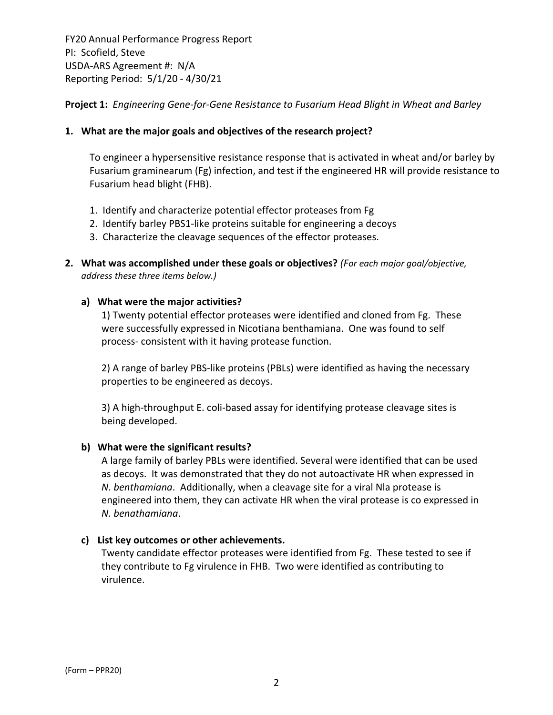**Project 1:** *Engineering Gene‐for‐Gene Resistance to Fusarium Head Blight in Wheat and Barley*

## **1. What are the major goals and objectives of the research project?**

To engineer a hypersensitive resistance response that is activated in wheat and/or barley by Fusarium graminearum (Fg) infection, and test if the engineered HR will provide resistance to Fusarium head blight (FHB).

- 1. Identify and characterize potential effector proteases from Fg
- 2. Identify barley PBS1‐like proteins suitable for engineering a decoys
- 3. Characterize the cleavage sequences of the effector proteases.
- **2. What was accomplished under these goals or objectives?** *(For each major goal/objective, address these three items below.)*

## **a) What were the major activities?**

1) Twenty potential effector proteases were identified and cloned from Fg. These were successfully expressed in Nicotiana benthamiana. One was found to self process‐ consistent with it having protease function.

2) A range of barley PBS‐like proteins (PBLs) were identified as having the necessary properties to be engineered as decoys.

3) A high-throughput E. coli-based assay for identifying protease cleavage sites is being developed.

#### **b) What were the significant results?**

A large family of barley PBLs were identified. Several were identified that can be used as decoys. It was demonstrated that they do not autoactivate HR when expressed in *N. benthamiana*. Additionally, when a cleavage site for a viral Nla protease is engineered into them, they can activate HR when the viral protease is co expressed in *N. benathamiana*.

#### **c) List key outcomes or other achievements.**

Twenty candidate effector proteases were identified from Fg. These tested to see if they contribute to Fg virulence in FHB. Two were identified as contributing to virulence.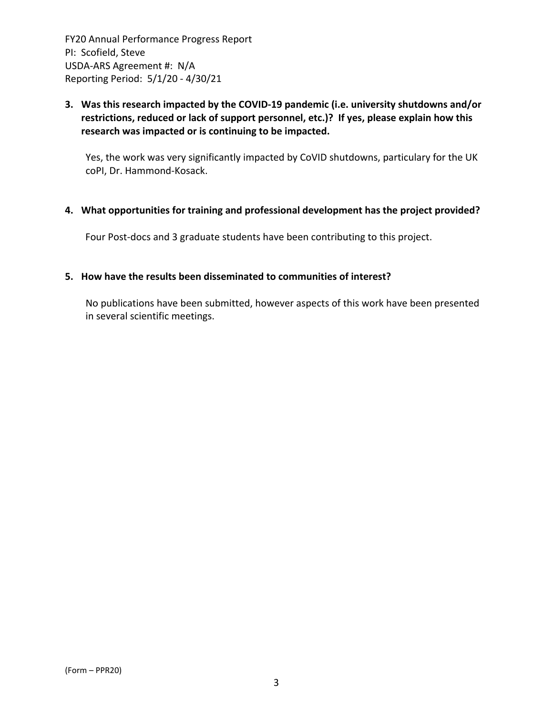## **3. Was this research impacted by the COVID‐19 pandemic (i.e. university shutdowns and/or restrictions, reduced or lack of support personnel, etc.)? If yes, please explain how this research was impacted or is continuing to be impacted.**

Yes, the work was very significantly impacted by CoVID shutdowns, particulary for the UK coPI, Dr. Hammond‐Kosack.

#### **4. What opportunities for training and professional development has the project provided?**

Four Post-docs and 3 graduate students have been contributing to this project.

#### **5. How have the results been disseminated to communities of interest?**

No publications have been submitted, however aspects of this work have been presented in several scientific meetings.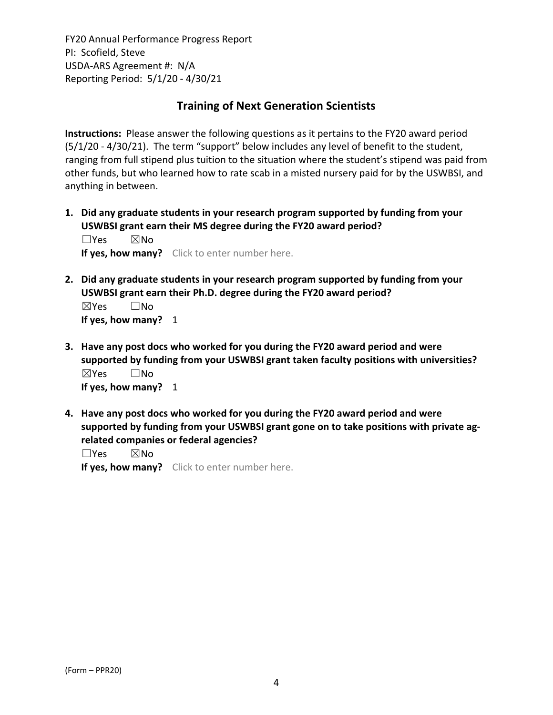# **Training of Next Generation Scientists**

**Instructions:** Please answer the following questions as it pertains to the FY20 award period (5/1/20 ‐ 4/30/21). The term "support" below includes any level of benefit to the student, ranging from full stipend plus tuition to the situation where the student's stipend was paid from other funds, but who learned how to rate scab in a misted nursery paid for by the USWBSI, and anything in between.

**1. Did any graduate students in your research program supported by funding from your USWBSI grant earn their MS degree during the FY20 award period?** ☐Yes ☒No

**If yes, how many?** Click to enter number here.

**2. Did any graduate students in your research program supported by funding from your USWBSI grant earn their Ph.D. degree during the FY20 award period?** ☒Yes ☐No

**If yes, how many?** 1

- **3. Have any post docs who worked for you during the FY20 award period and were supported by funding from your USWBSI grant taken faculty positions with universities?** ☒Yes ☐No **If yes, how many?** 1
- **4. Have any post docs who worked for you during the FY20 award period and were supported by funding from your USWBSI grant gone on to take positions with private ag‐ related companies or federal agencies?**

☐Yes ☒No

**If yes, how many?** Click to enter number here.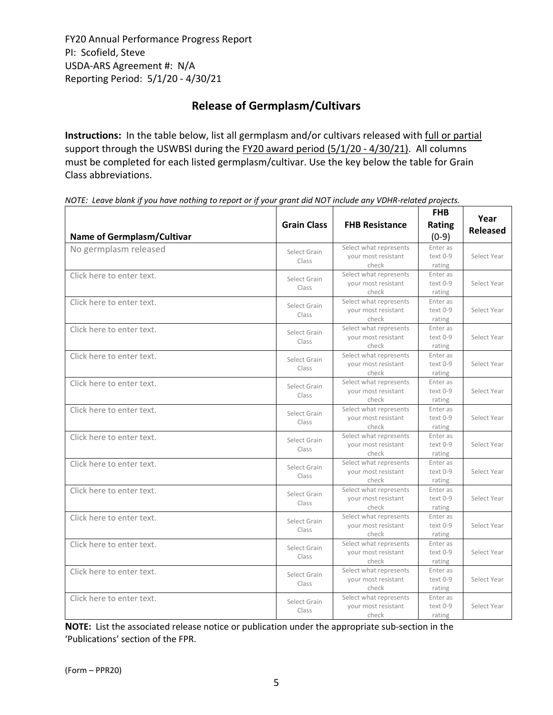# **Release of Germplasm/Cultivars**

**Instructions:** In the table below, list all germplasm and/or cultivars released with full or partial support through the USWBSI during the FY20 award period (5/1/20 - 4/30/21). All columns must be completed for each listed germplasm/cultivar. Use the key below the table for Grain Class abbreviations. 

| <b>Name of Germplasm/Cultivar</b> | <b>Grain Class</b>    | <b>FHB Resistance</b>                                  | <b>FHB</b><br><b>Rating</b><br>$(0-9)$ | Year<br><b>Released</b> |
|-----------------------------------|-----------------------|--------------------------------------------------------|----------------------------------------|-------------------------|
| No germplasm released             | Select Grain<br>Class | Select what represents<br>your most resistant<br>check | Enter as<br>text 0-9<br>rating         | Select Year             |
| Click here to enter text.         | Select Grain<br>Class | Select what represents<br>your most resistant<br>check | Enter as<br>$text 0-9$<br>rating       | Select Year             |
| Click here to enter text.         | Select Grain<br>Class | Select what represents<br>your most resistant<br>check | Enter as<br>text 0-9<br>rating         | Select Year             |
| Click here to enter text.         | Select Grain<br>Class | Select what represents<br>your most resistant<br>check | Enter as<br>text 0-9<br>rating         | Select Year             |
| Click here to enter text.         | Select Grain<br>Class | Select what represents<br>your most resistant<br>check | Enter as<br>text 0-9<br>rating         | Select Year             |
| Click here to enter text.         | Select Grain<br>Class | Select what represents<br>your most resistant<br>check | Enter as<br>text 0-9<br>rating         | Select Year             |
| Click here to enter text.         | Select Grain<br>Class | Select what represents<br>your most resistant<br>check | Enter as<br>text 0-9<br>rating         | Select Year             |
| Click here to enter text.         | Select Grain<br>Class | Select what represents<br>your most resistant<br>check | Enter as<br>text 0-9<br>rating         | Select Year             |
| Click here to enter text.         | Select Grain<br>Class | Select what represents<br>your most resistant<br>check | Enter as<br>text 0-9<br>rating         | Select Year             |
| Click here to enter text.         | Select Grain<br>Class | Select what represents<br>your most resistant<br>check | Enter as<br>text 0-9<br>rating         | Select Year             |
| Click here to enter text.         | Select Grain<br>Class | Select what represents<br>your most resistant<br>check | Enter as<br>text 0-9<br>rating         | Select Year             |
| Click here to enter text.         | Select Grain<br>Class | Select what represents<br>your most resistant<br>check | Enter as<br>text 0-9<br>rating         | Select Year             |
| Click here to enter text.         | Select Grain<br>Class | Select what represents<br>your most resistant<br>check | Enter as<br>text 0-9<br>rating         | Select Year             |
| Click here to enter text.         | Select Grain<br>Class | Select what represents<br>your most resistant<br>check | Enter as<br>text 0-9<br>rating         | Select Year             |

NOTE: Leave blank if you have nothing to report or if your grant did NOT include any VDHR-related projects.

**NOTE:** List the associated release notice or publication under the appropriate sub-section in the 'Publications' section of the FPR.